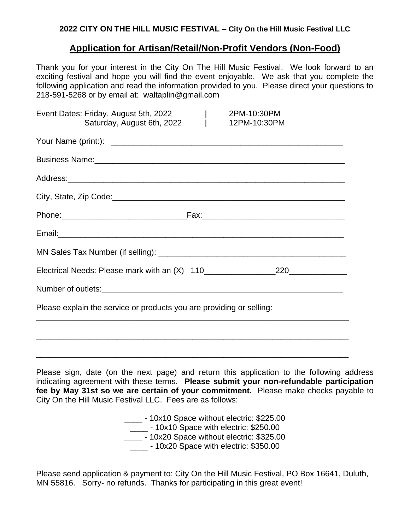## **2022 CITY ON THE HILL MUSIC FESTIVAL – City On the Hill Music Festival LLC**

# **Application for Artisan/Retail/Non-Profit Vendors (Non-Food)**

Thank you for your interest in the City On The Hill Music Festival. We look forward to an exciting festival and hope you will find the event enjoyable. We ask that you complete the following application and read the information provided to you. Please direct your questions to 218-591-5268 or by email at: waltaplin@gmail.com

| 2PM-10:30PM<br>Event Dates: Friday, August 5th, 2022<br>Saturday, August 6th, 2022  <br>12PM-10:30PM                                                                                                                                |
|-------------------------------------------------------------------------------------------------------------------------------------------------------------------------------------------------------------------------------------|
|                                                                                                                                                                                                                                     |
| Business Name: <u>Communications</u> Control and Control and Control and Control and Control and Control and Control and Control and Control and Control and Control and Control and Control and Control and Control and Control an |
|                                                                                                                                                                                                                                     |
|                                                                                                                                                                                                                                     |
|                                                                                                                                                                                                                                     |
|                                                                                                                                                                                                                                     |
|                                                                                                                                                                                                                                     |
|                                                                                                                                                                                                                                     |
|                                                                                                                                                                                                                                     |
| Please explain the service or products you are providing or selling:                                                                                                                                                                |
| ,我们也不能在这里的时候,我们也不能在这里的时候,我们也不能在这里的时候,我们也不能会在这里的时候,我们也不能会在这里的时候,我们也不能会在这里的时候,我们也不                                                                                                                                                    |
|                                                                                                                                                                                                                                     |
|                                                                                                                                                                                                                                     |

Please sign, date (on the next page) and return this application to the following address indicating agreement with these terms. **Please submit your non-refundable participation fee by May 31st so we are certain of your commitment.** Please make checks payable to City On the Hill Music Festival LLC. Fees are as follows:

> \_\_\_\_\_ - 10x10 Space without electric: \$225.00 10x10 Space with electric: \$250.00 \_\_\_\_\_ - 10x20 Space without electric: \$325.00 \_\_\_\_\_ - 10x20 Space with electric: \$350.00

Please send application & payment to: City On the Hill Music Festival, PO Box 16641, Duluth, MN 55816. Sorry- no refunds. Thanks for participating in this great event!